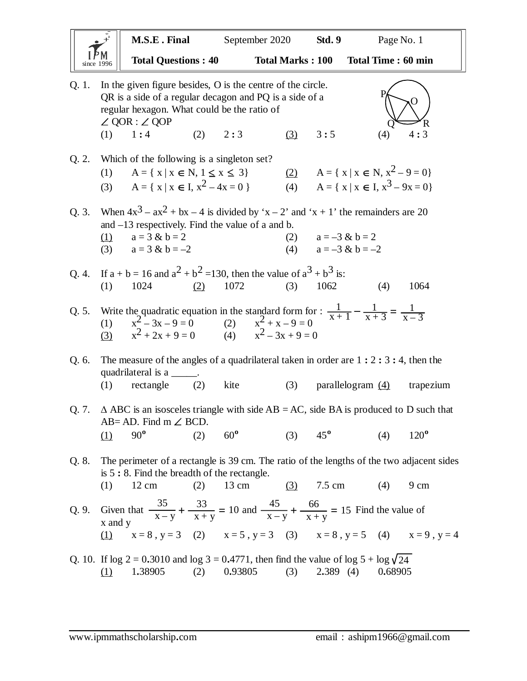|       |                                                                                                                                                                                                                              | M.S.E. Final                                                                                                                                                                                                    |     | September 2020  |                         | Page No. 1<br><b>Std. 9</b> |                      |                                                                                      |         |               |
|-------|------------------------------------------------------------------------------------------------------------------------------------------------------------------------------------------------------------------------------|-----------------------------------------------------------------------------------------------------------------------------------------------------------------------------------------------------------------|-----|-----------------|-------------------------|-----------------------------|----------------------|--------------------------------------------------------------------------------------|---------|---------------|
|       |                                                                                                                                                                                                                              | <b>Total Questions: 40</b>                                                                                                                                                                                      |     |                 | <b>Total Marks: 100</b> |                             |                      | <b>Total Time: 60 min</b>                                                            |         |               |
| Q. 1. | In the given figure besides, O is the centre of the circle.<br>QR is a side of a regular decagon and PQ is a side of a<br>regular hexagon. What could be the ratio of<br>$\angle$ QOR : $\angle$ QOP<br>R<br>$(1) \quad 1:4$ |                                                                                                                                                                                                                 |     |                 |                         |                             |                      |                                                                                      |         |               |
|       |                                                                                                                                                                                                                              |                                                                                                                                                                                                                 | (2) | 2:3             |                         | (3)                         | 3:5                  |                                                                                      | (4)     | 4:3           |
| Q.2.  | (1)                                                                                                                                                                                                                          | Which of the following is a singleton set?<br>$A = \{ x   x \in N, 1 \le x \le 3 \}$<br>(3) $A = \{ x \mid x \in I, x^2 - 4x = 0 \}$                                                                            |     |                 |                         | (2)                         |                      | $A = \{ x \mid x \in N, x^2 - 9 = 0 \}$<br>(4) $A = \{ x   x \in I, x^3 - 9x = 0 \}$ |         |               |
| Q.3.  | (1)                                                                                                                                                                                                                          | When $4x^3 - ax^2 + bx - 4$ is divided by 'x – 2' and 'x + 1' the remainders are 20<br>and $-13$ respectively. Find the value of a and b.<br>$a = 3 & b = 2$<br>(3) $a = 3 & b = -2$                            |     |                 |                         |                             | (2) $a = -3 & b = 2$ | (4) $a = -3 & b = -2$                                                                |         |               |
| Q.4.  | (1)                                                                                                                                                                                                                          | If $a + b = 16$ and $a^2 + b^2 = 130$ , then the value of $a^3 + b^3$ is:<br>1024                                                                                                                               | (2) | 1072            |                         | (3)                         | 1062                 |                                                                                      | (4)     | 1064          |
| Q. 5. |                                                                                                                                                                                                                              | Write the quadratic equation in the standard form for : $\frac{1}{x+1} - \frac{1}{x+3} = \frac{1}{x-3}$<br>(1) $x^2 - 3x - 9 = 0$ (2) $x^2 + x - 9 = 0$<br>(3) $x^2 + 2x + 9 = 0$ (4) $x^2 - 3x + 9 = 0$        |     |                 |                         |                             |                      |                                                                                      |         |               |
| Q. 6. | (1)                                                                                                                                                                                                                          | The measure of the angles of a quadrilateral taken in order are $1:2:3:4$ , then the<br>quadrilateral is a ______.<br>$rectangle$ (2)                                                                           |     | kite            |                         | (3)                         |                      | parallelogram $(4)$                                                                  |         | trapezium     |
| Q. 7. | (1)                                                                                                                                                                                                                          | $\triangle$ ABC is an isosceles triangle with side AB = AC, side BA is produced to D such that<br>AB= AD. Find m $\angle$ BCD.<br>$90^{\circ}$                                                                  | (2) | $60^{\circ}$    |                         | (3)                         | $45^{\circ}$         |                                                                                      | (4)     | $120^{\circ}$ |
| Q. 8. | (1)                                                                                                                                                                                                                          | The perimeter of a rectangle is 39 cm. The ratio of the lengths of the two adjacent sides<br>is $5:8$ . Find the breadth of the rectangle.<br>$12 \text{ cm}$                                                   | (2) | $13 \text{ cm}$ |                         | (3)                         | 7.5 cm               |                                                                                      | (4)     | 9 cm          |
|       | $x$ and $y$                                                                                                                                                                                                                  | Q. 9. Given that $\frac{35}{x-y} + \frac{33}{x+y} = 10$ and $\frac{45}{x-y} + \frac{66}{x+y} = 15$ Find the value of<br>(1) $x = 8$ , $y = 3$ (2) $x = 5$ , $y = 3$ (3) $x = 8$ , $y = 5$ (4) $x = 9$ , $y = 4$ |     |                 |                         |                             |                      |                                                                                      |         |               |
|       | $\Omega$                                                                                                                                                                                                                     | Q. 10. If $\log 2 = 0.3010$ and $\log 3 = 0.4771$ , then find the value of $\log 5 + \log \sqrt{24}$<br>1.38905                                                                                                 | (2) | 0.93805         |                         | (3)                         | 2.389(4)             |                                                                                      | 0.68905 |               |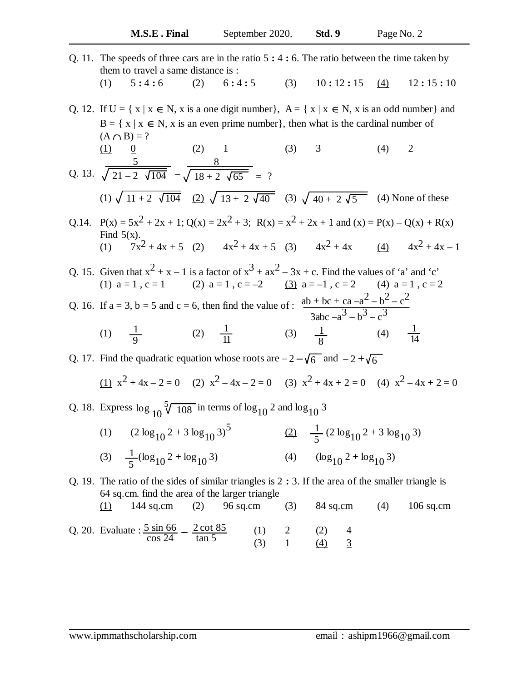Q. 11. The speeds of three cars are in the ratio 5 **:** 4 **:** 6. The ratio between the time taken by them to travel a same distance is : (1) 5 **:** 4 **:** 6 (2) 6 **:** 4 **:** 5 (3) 10 **:** 12 **:** 15 (4) 12 **:** 15 **:** 10

Q. 12. If  $U = \{ x \mid x \in N, x \text{ is a one digit number} \}, A = \{ x \mid x \in N, x \text{ is an odd number} \}$  and  $B = \{ x \mid x \in N, x \text{ is an even prime number} \}, \text{ then what is the cardinal number of }$  $(A \cap B) = ?$ (1)  $\frac{0}{2}$  (2) 1 (3) 3 (4) 2

Q. 13. 
$$
\sqrt{21-2\sqrt{104}} - \sqrt{18+2\sqrt{65}} = ?
$$
  
(1)  $\sqrt{11+2\sqrt{104}} = \sqrt{22} \sqrt{13+2\sqrt{40}} = ?$  (3)  $\sqrt{40+2\sqrt{5}} = 4$ ) None of these

Q.14.  $P(x) = 5x^2 + 2x + 1$ ;  $Q(x) = 2x^2 + 3$ ;  $R(x) = x^2 + 2x + 1$  and  $(x) = P(x) - Q(x) + R(x)$ Find  $5(x)$ . (1)  $7x^2 + 4x + 5$  (2)  $4x^2 + 4x + 5$  (3)  $4x^2 + 4x$  (4)  $4x^2 + 4x - 1$ 

Q. 15. Given that 
$$
x^2 + x - 1
$$
 is a factor of  $x^3 + ax^2 - 3x + c$ . Find the values of 'a' and 'c'  
\n(1)  $a = 1$ ,  $c = 1$   
\n(2)  $a = 1$ ,  $c = -2$   
\n(3)  $a = -1$ ,  $c = 2$   
\n(4)  $a = 1$ ,  $c = 2$   
\n(5)  $a = -1$ ,  $c = 2$   
\n(6)  $a = 1$ ,  $c = 2$   
\n(7)  $a = 3$ ,  $b = 5$  and  $c = 6$ , then find the value of:  $\frac{ab + bc + ca - a^2 - b^2 - c^2}{3abc - a^3 - b^3 - c^3}$   
\n(8)  $\frac{1}{8}$   
\n(9)  $\frac{1}{8}$   
\n(1)  $\frac{1}{9}$   
\n(2)  $\frac{1}{11}$   
\n(3)  $\frac{1}{8}$   
\n(4)  $\frac{1}{14}$ 

Q. 17. Find the quadratic equation whose roots are  $-2 - \sqrt{6}$  and  $-2 + \sqrt{6}$ 

(1) 
$$
x^2 + 4x - 2 = 0
$$
 (2)  $x^2 - 4x - 2 = 0$  (3)  $x^2 + 4x + 2 = 0$  (4)  $x^2 - 4x + 2 = 0$ 

Q. 18. Express  $\log_{10} \sqrt[5]{\frac{108}{108}}$  in terms of  $\log_{10} 2$  and  $\log_{10} 3$ 

(1)  $(2 \log_{10} 2 + 3 \log_{10} 3)^5$ (2)  $\frac{1}{5}$  (2 log<sub>10</sub> 2 + 3 log<sub>10</sub> 3) (4)  $(\log_{10} 2 + \log_{10} 3)$ 5 1 5

Q. 19. The ratio of the sides of similar triangles is 2 **:** 3. If the area of the smaller triangle is 64 sq.cm. find the area of the larger triangle (1) 144 sq.cm (2) 96 sq.cm (3) 84 sq.cm (4) 106 sq.cm

Q. 20. Evaluate : 
$$
\frac{5 \sin 66}{\cos 24} - \frac{2 \cot 85}{\tan 5}
$$
 (1) 2 (2) 4  
(3) 1 (4) 3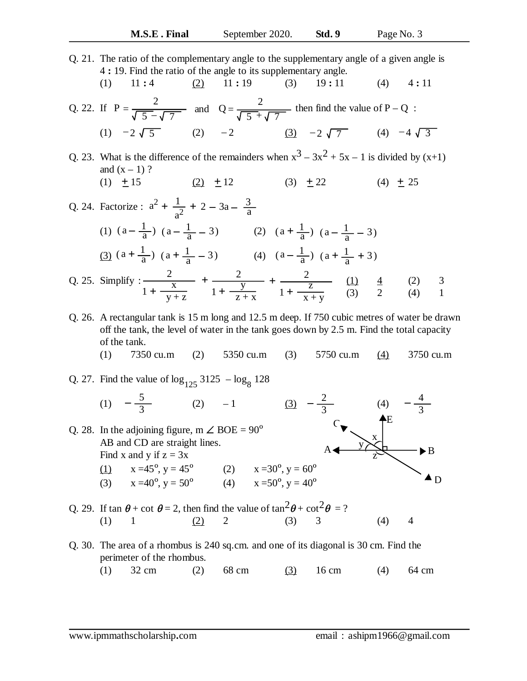Q. 21. The ratio of the complementary angle to the supplementary angle of a given angle is 4 **:** 19. Find the ratio of the angle to its supplementary angle. (1) 11 **:** 4 (2) 11 **:** 19 (3) 19 **:** 11 (4) 4 **:** 11 Q. 22. If  $P = \frac{2}{\sqrt{2\pi} \sqrt{2}}$  and  $Q = \frac{2}{\sqrt{2\pi} \sqrt{2}}$  then find the value of P – Q: (1)  $-2\sqrt{5}$  (2)  $-2$  (3)  $-2\sqrt{7}$  (4) Q. 23. What is the difference of the remainders when  $x^3 - 3x^2 + 5x - 1$  is divided by  $(x+1)$ and  $(x - 1)$  ? (1)  $\pm 15$  (2)  $\pm 12$  (3)  $\pm 22$  (4)  $\pm 25$ Q. 24. Factorize :  $a^2 + \frac{1}{2}$ (1)  $(a - \frac{1}{a}) (a - \frac{1}{a} - 3)$  (2)  $\frac{2}{5-\sqrt{7}}$  and  $Q=\frac{2}{\sqrt{5+\frac{2}{\sqrt{7}}}}$  $\sqrt{7}$ (3)  $-2\sqrt{7}$  (4)  $-4\sqrt{3}$  $(1) + 15$  $+\frac{1}{a^2} + 2 - 3a - \frac{3}{a}$ a  $(a - \frac{1}{a}) (a - \frac{1}{a})$  $(a - \frac{1}{a} - 3)$  (2)  $(a + \frac{1}{a})$  $(a + \frac{1}{a}) (a - \frac{1}{a})$  $(a - \frac{1}{a} - 3)$ 

$$
\frac{(3) (a + \frac{1}{a}) (a + \frac{1}{a} - 3)}{(1 + \frac{x}{y + z})} + \frac{2}{1 + \frac{y}{z + x}} + \frac{2}{1 + \frac{z}{z + y}} + \frac{1}{1 + \frac{z}{z + y}} + \frac{1}{1 + \frac{z}{z + y}} + \frac{1}{1 + \frac{z}{z + y}} + \frac{1}{1 + \frac{z}{z + y}} + \frac{1}{1 + \frac{z}{z + y}} + \frac{1}{1 + \frac{z}{z + y}} + \frac{1}{1 + \frac{z}{z + y}} + \frac{1}{1 + \frac{z}{z + y}} + \frac{1}{1 + \frac{z}{z + y}} + \frac{1}{1 + \frac{z}{z + y}} + \frac{1}{1 + \frac{z}{z + y}} + \frac{1}{1 + \frac{z}{z + y}} + \frac{1}{1 + \frac{z}{z + y}} + \frac{1}{1 + \frac{z}{z + y}} + \frac{1}{1 + \frac{z}{z + y}} + \frac{1}{1 + \frac{z}{z + y}} + \frac{1}{1 + \frac{z}{z + y}} + \frac{1}{1 + \frac{z}{z + y}} + \frac{1}{1 + \frac{z}{z + y}} + \frac{1}{1 + \frac{z}{z + y}} + \frac{1}{1 + \frac{z}{z + y}} + \frac{1}{1 + \frac{z}{z + y}} + \frac{1}{1 + \frac{z}{z + y}} + \frac{1}{1 + \frac{z}{z + y}} + \frac{1}{1 + \frac{z}{z + y}} + \frac{1}{1 + \frac{z}{z + y}} + \frac{1}{1 + \frac{z}{z + y}} + \frac{1}{1 + \frac{z}{z + y}} + \frac{1}{1 + \frac{z}{z + y}} + \frac{1}{1 + \frac{z}{z + y}} + \frac{1}{1 + \frac{z}{z + y}} + \frac{1}{1 + \frac{z}{z + y}} + \frac{1}{1 + \frac{z}{z + y}} + \frac{1}{1 + \frac{z}{z + y}} + \frac{1}{1 + \frac{z}{z + y}} + \frac{1}{1 + \frac{z}{z + y}} + \frac{1}{1 + \frac{z}{z + y}} + \frac{1}{1 + \frac{z}{z + y}} + \frac{1}{1 + \frac{z}{z + y}} + \frac{1}{1 + \frac{z}{z + y}} + \frac{1
$$

Q. 26. A rectangular tank is 15 m long and 12.5 m deep. If 750 cubic metres of water be drawn off the tank, the level of water in the tank goes down by 2.5 m. Find the total capacity of the tank.

(1) 7350 cu.m (2) 5350 cu.m (3) 5750 cu.m (4) 3750 cu.m

Q. 27. Find the value of 
$$
\log_{125} 3125 - \log_8 128
$$
  
\n(1)  $-\frac{5}{3}$  (2)  $-1$  (3)  $-\frac{2}{3}$  (4)  $-\frac{4}{3}$   
\nQ. 28. In the adjoining figure, m  $\angle$  BOE = 90°  
\nAB and CD are straight lines.  
\nFind x and y if z = 3x  
\n(1)  $x = 45^\circ$ , y = 45° (2)  $x = 30^\circ$ , y = 60°  
\n(3)  $x = 40^\circ$ , y = 50° (4)  $x = 50^\circ$ , y = 40°  
\nQ. 29. If tan  $\theta$  + cot  $\theta$  = 2, then find the value of tan<sup>2</sup> $\theta$  + cot<sup>2</sup> $\theta$  = ?

Q. 30. The area of a rhombus is 240 sq.cm. and one of its diagonal is 30 cm. Find the perimeter of the rhombus.

(1)  $1 \t (2) 2 \t (3) 3 \t (4) 4$